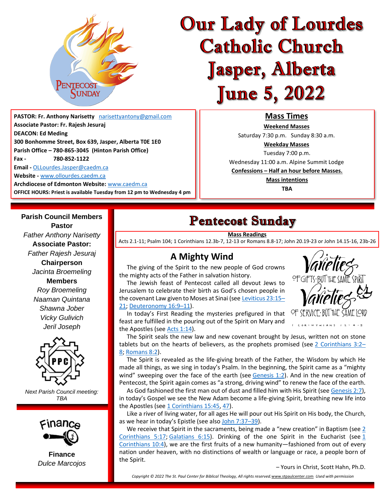

# **Our Lady of Lourdes Catholic Church Jasper, Alberta June 5, 2022**

**PASTOR: Fr. Anthony Narisetty** [narisettyantony@gmail.com](mailto:narisettyantony@gmail.com) **Associate Pastor: Fr. Rajesh Jesuraj DEACON: Ed Meding 300 Bonhomme Street, Box 639, Jasper, Alberta T0E 1E0 Parish Office – 780-865-3045 (Hinton Parish Office) Fax - 780-852-1122** 

**Email -** [OLLourdes.Jasper@caedm.ca](mailto:OLLourdes.Jasper@caedm.ca)

**Parish Council Members Pastor** *Father Anthony Narisetty* **Associate Pastor:**  *Father Rajesh Jesuraj*  **Chairperson** *Jacinta Broemeling* **Members** *Roy Broemeling Naaman Quintana Shawna Jober Vicky Gulivich Jeril Joseph*

**Website -** [www.ollourdes.caedm.ca](http://www.ollourdes.caedm.ca/)

**Archdiocese of Edmonton Website:** [www.caedm.ca](http://www.caedm.ca/)  **OFFICE HOURS: Priest is available Tuesday from 12 pm to Wednesday 4 pm**

## **Mass Times**

**Weekend Masses**  Saturday 7:30 p.m. Sunday 8:30 a.m. **Weekday Masses** Tuesday 7:00 p.m. Wednesday 11:00 a.m. Alpine Summit Lodge **Confessions – Half an hour before Masses. Mass intentions TBA**

# **Pentecost Sunday**

#### **Mass Readings**

Acts 2.1-11; Psalm 104; 1 Corinthians 12.3b-7, 12-13 or Romans 8.8-17; John 20.19-23 or John 14.15-16, 23b-26

# **A Mighty Wind**

 The giving of the Spirit to the new people of God crowns the mighty acts of the Father in salvation history.

 The Jewish feast of Pentecost called all devout Jews to Jerusalem to celebrate their birth as God's chosen people in the covenant Law given to Moses at Sinai (see [Leviticus 23:15](https://stpaulcenter.us1.list-manage.com/track/click?u=2105b9ae357c6e5425a6abcf9&id=6f099d9fd6&e=7a39dd5264)–

#### [21;](https://stpaulcenter.us1.list-manage.com/track/click?u=2105b9ae357c6e5425a6abcf9&id=6f099d9fd6&e=7a39dd5264) [Deuteronomy 16:9](https://stpaulcenter.us1.list-manage.com/track/click?u=2105b9ae357c6e5425a6abcf9&id=1a01d8313e&e=7a39dd5264)–11).

 In today's First Reading the mysteries prefigured in that feast are fulfilled in the pouring out of the Spirit on Mary and the Apostles (see [Acts 1:14\)](https://stpaulcenter.us1.list-manage.com/track/click?u=2105b9ae357c6e5425a6abcf9&id=bed37ae8a4&e=7a39dd5264).

OF SERVICE BUT THE SAME IORD CORINTHIANS / 2 : 4 - 5

 The Spirit seals the new law and new covenant brought by Jesus, written not on stone tablets but on the hearts of believers, as the prophets promised (see [2 Corinthians 3:2](https://stpaulcenter.us1.list-manage.com/track/click?u=2105b9ae357c6e5425a6abcf9&id=dcdc1ec1df&e=7a39dd5264)– [8;](https://stpaulcenter.us1.list-manage.com/track/click?u=2105b9ae357c6e5425a6abcf9&id=dcdc1ec1df&e=7a39dd5264) [Romans 8:2\)](https://stpaulcenter.us1.list-manage.com/track/click?u=2105b9ae357c6e5425a6abcf9&id=aaff7977eb&e=7a39dd5264).

 The Spirit is revealed as the life-giving breath of the Father, the Wisdom by which He made all things, as we sing in today's Psalm. In the beginning, the Spirit came as a "mighty wind" sweeping over the face of the earth (see  $Genesis 1:2$ ). And in the new creation of Pentecost, the Spirit again comes as "a strong, driving wind" to renew the face of the earth.

 As God fashioned the first man out of dust and filled him with His Spirit (see [Genesis 2:7\)](https://stpaulcenter.us1.list-manage.com/track/click?u=2105b9ae357c6e5425a6abcf9&id=89417ee967&e=7a39dd5264), in today's Gospel we see the New Adam become a life-giving Spirit, breathing new life into the Apostles (see [1 Corinthians 15:45,](https://stpaulcenter.us1.list-manage.com/track/click?u=2105b9ae357c6e5425a6abcf9&id=a9a36cc004&e=7a39dd5264) [47\)](https://stpaulcenter.us1.list-manage.com/track/click?u=2105b9ae357c6e5425a6abcf9&id=6704bc5045&e=7a39dd5264).

 Like a river of living water, for all ages He will pour out His Spirit on His body, the Church, as we hear in today's Epistle (see also [John 7:37](https://stpaulcenter.us1.list-manage.com/track/click?u=2105b9ae357c6e5425a6abcf9&id=d8c9cbc4ed&e=7a39dd5264)–39).

We receive that Spirit in the sacraments, being made a "new creation" in Baptism (see 2 [Corinthians 5:17;](https://stpaulcenter.us1.list-manage.com/track/click?u=2105b9ae357c6e5425a6abcf9&id=835debee99&e=7a39dd5264) [Galatians 6:15\)](https://stpaulcenter.us1.list-manage.com/track/click?u=2105b9ae357c6e5425a6abcf9&id=bef3049618&e=7a39dd5264). Drinking of the one Spirit in the Eucharist (see  $1$ [Corinthians 10:4\)](https://stpaulcenter.us1.list-manage.com/track/click?u=2105b9ae357c6e5425a6abcf9&id=ece5a1a653&e=7a39dd5264), we are the first fruits of a new humanity—fashioned from out of every nation under heaven, with no distinctions of wealth or language or race, a people born of the Spirit.

– Yours in Christ, Scott Hahn, Ph.D.

**PFGIFTS-BIJT THE SAME** 



*Next Parish Council meeting: TBA*



**Finance** *Dulce Marcojos*